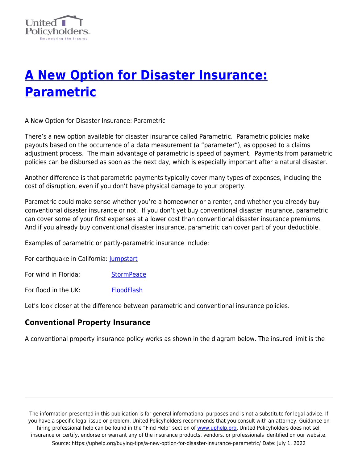

# **[A New Option for Disaster Insurance:](https://uphelp.org/buying-tips/a-new-option-for-disaster-insurance-parametric/) [Parametric](https://uphelp.org/buying-tips/a-new-option-for-disaster-insurance-parametric/)**

A New Option for Disaster Insurance: Parametric

There's a new option available for disaster insurance called Parametric. Parametric policies make payouts based on the occurrence of a data measurement (a "parameter"), as opposed to a claims adjustment process. The main advantage of parametric is speed of payment. Payments from parametric policies can be disbursed as soon as the next day, which is especially important after a natural disaster.

Another difference is that parametric payments typically cover many types of expenses, including the cost of disruption, even if you don't have physical damage to your property.

Parametric could make sense whether you're a homeowner or a renter, and whether you already buy conventional disaster insurance or not. If you don't yet buy conventional disaster insurance, parametric can cover some of your first expenses at a lower cost than conventional disaster insurance premiums. And if you already buy conventional disaster insurance, parametric can cover part of your deductible.

Examples of parametric or partly-parametric insurance include:

For earthquake in California: [Jumpstart](https://www.jumpstartrecovery.com/)

For wind in Florida: [StormPeace](https://www.stormpeace.com/)

For flood in the UK: [FloodFlash](https://floodflash.co/)

Let's look closer at the difference between parametric and conventional insurance policies.

# **Conventional Property Insurance**

A conventional property insurance policy works as shown in the diagram below. The insured limit is the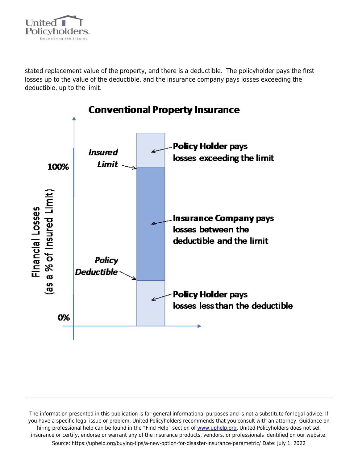

stated replacement value of the property, and there is a deductible. The policyholder pays the first losses up to the value of the deductible, and the insurance company pays losses exceeding the deductible, up to the limit.

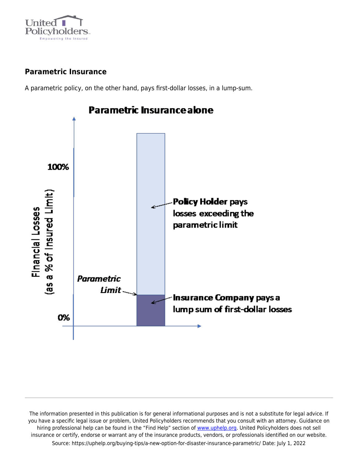

# **Parametric Insurance**

A parametric policy, on the other hand, pays first-dollar losses, in a lump-sum.

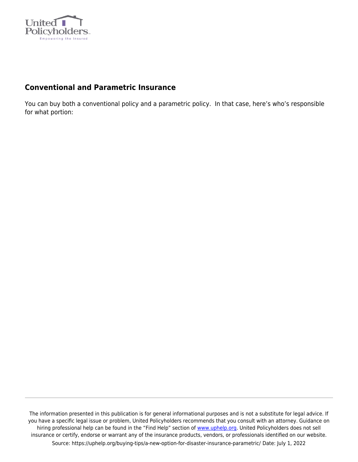

# **Conventional and Parametric Insurance**

You can buy both a conventional policy and a parametric policy. In that case, here's who's responsible for what portion: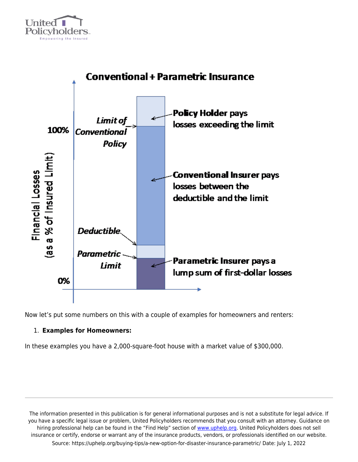



Now let's put some numbers on this with a couple of examples for homeowners and renters:

### 1. **Examples for Homeowners:**

In these examples you have a 2,000-square-foot house with a market value of \$300,000.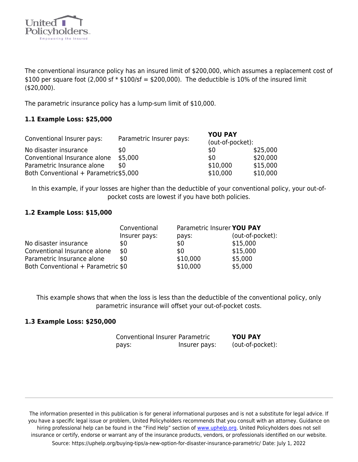

The conventional insurance policy has an insured limit of \$200,000, which assumes a replacement cost of \$100 per square foot (2,000 sf  $*$  \$100/sf = \$200,000). The deductible is 10% of the insured limit (\$20,000).

The parametric insurance policy has a lump-sum limit of \$10,000.

#### **1.1 Example Loss: \$25,000**

| Conventional Insurer pays:            | Parametric Insurer pays: | <b>YOU PAY</b><br>(out-of-pocket): |          |
|---------------------------------------|--------------------------|------------------------------------|----------|
| No disaster insurance                 | \$0                      | \$0                                | \$25,000 |
| Conventional Insurance alone          | \$5,000                  | \$0                                | \$20,000 |
| Parametric Insurance alone            | \$0                      | \$10,000                           | \$15,000 |
| Both Conventional + Parametric\$5,000 |                          | \$10,000                           | \$10,000 |

In this example, if your losses are higher than the deductible of your conventional policy, your out-ofpocket costs are lowest if you have both policies.

#### **1.2 Example Loss: \$15,000**

|                                    | Conventional  | Parametric Insurer YOU PAY |                  |
|------------------------------------|---------------|----------------------------|------------------|
|                                    | Insurer pays: | pays:                      | (out-of-pocket): |
| No disaster insurance              | \$0           | \$0                        | \$15,000         |
| Conventional Insurance alone       | \$0           | \$0                        | \$15,000         |
| Parametric Insurance alone         | \$0           | \$10,000                   | \$5,000          |
| Both Conventional + Parametric \$0 |               | \$10,000                   | \$5,000          |

This example shows that when the loss is less than the deductible of the conventional policy, only parametric insurance will offset your out-of-pocket costs.

#### **1.3 Example Loss: \$250,000**

| Conventional Insurer Parametric |               | <b>YOU PAY</b>   |
|---------------------------------|---------------|------------------|
| pays:                           | Insurer pays: | (out-of-pocket): |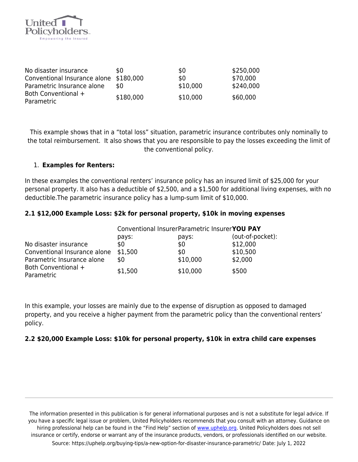

| No disaster insurance<br>Conventional Insurance alone \$180,000 | \$0       | \$0<br>\$0 | \$250,000<br>\$70,000 |
|-----------------------------------------------------------------|-----------|------------|-----------------------|
| Parametric Insurance alone                                      | \$0       | \$10,000   | \$240,000             |
| Both Conventional +<br>Parametric                               | \$180,000 | \$10,000   | \$60,000              |

This example shows that in a "total loss" situation, parametric insurance contributes only nominally to the total reimbursement. It also shows that you are responsible to pay the losses exceeding the limit of the conventional policy.

#### 1. **Examples for Renters:**

In these examples the conventional renters' insurance policy has an insured limit of \$25,000 for your personal property. It also has a deductible of \$2,500, and a \$1,500 for additional living expenses, with no deductible.The parametric insurance policy has a lump-sum limit of \$10,000.

#### **2.1 \$12,000 Example Loss: \$2k for personal property, \$10k in moving expenses**

|                              | Conventional InsurerParametric InsurerYOU PAY |          |                  |
|------------------------------|-----------------------------------------------|----------|------------------|
|                              | pays:                                         | pays:    | (out-of-pocket): |
| No disaster insurance        | \$0                                           | \$0      | \$12,000         |
| Conventional Insurance alone | \$1,500                                       | \$0      | \$10,500         |
| Parametric Insurance alone   | \$0                                           | \$10,000 | \$2,000          |
| Both Conventional +          | \$1,500                                       | \$10,000 | \$500            |
| Parametric                   |                                               |          |                  |

In this example, your losses are mainly due to the expense of disruption as opposed to damaged property, and you receive a higher payment from the parametric policy than the conventional renters' policy.

#### **2.2 \$20,000 Example Loss: \$10k for personal property, \$10k in extra child care expenses**